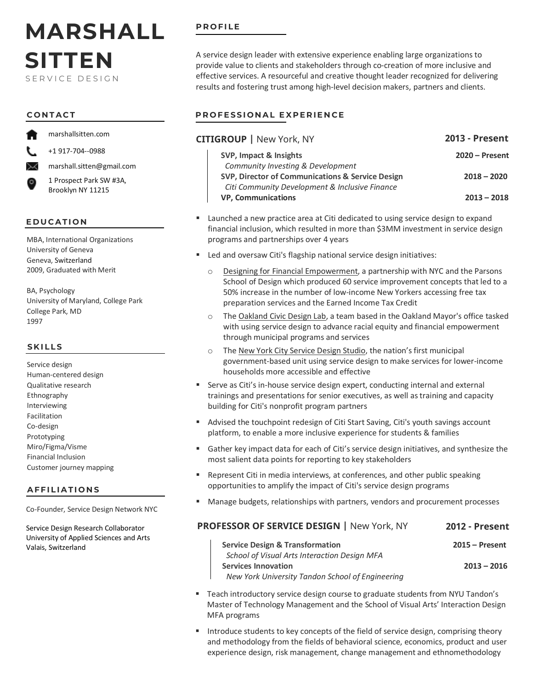# **MARSHALL SITTEN** SERVICE DESIGN

marshallsitten.com

+1 917-704--0988

marshall.sitten@gmail.com

1 Prospect Park SW #3A, Brooklyn NY 11215

#### **EDUCATION**

MBA, International Organizations University of Geneva Geneva, Switzerland 2009, Graduated with Merit

BA, Psychology University of Maryland, College Park College Park, MD 1997

#### **SKILLS**

Service design Human-centered design Qualitative research Ethnography Interviewing Facilitation Co-design Prototyping Miro/Figma/Visme Financial Inclusion Customer journey mapping

#### **AFFILIATIONS**

Co-Founder, Service Design Network NYC

Service Design Research Collaborator University of Applied Sciences and Arts Valais, Switzerland

### **PROFILE**

A service design leader with extensive experience enabling large organizations to provide value to clients and stakeholders through co-creation of more inclusive and effective services. A resourceful and creative thought leader recognized for delivering results and fostering trust among high-level decision makers, partners and clients.

# **CONTACT PROFESSIONAL EXPERIENCE**

| <b>CITIGROUP</b>   New York, NY                  | <b>2013 - Present</b> |
|--------------------------------------------------|-----------------------|
| SVP, Impact & Insights                           | $2020 -$ Present      |
| Community Investing & Development                |                       |
| SVP, Director of Communications & Service Design | $2018 - 2020$         |
| Citi Community Development & Inclusive Finance   |                       |
| <b>VP, Communications</b>                        | $2013 - 2018$         |

- Launched a new practice area at Citi dedicated to using service design to expand financial inclusion, which resulted in more than \$3MM investment in service design programs and partnerships over 4 years
- **Led and oversaw Citi's flagship national service design initiatives:** 
	- o [Designing for Financial Empowerment,](http://www.dfe.nyc/) a partnership with NYC and the Parsons School of Design which produced 60 service improvement concepts that led to a 50% increase in the number of low-income New Yorkers accessing free tax preparation services and the Earned Income Tax Credit
	- o Th[e Oakland Civic Design Lab,](https://www.civicdesignlab.org/) a team based in the Oakland Mayor's office tasked with using service design to advance racial equity and financial empowerment through municipal programs and services
	- Th[e New York City Service Design Studio,](http://www.civicservicedesign.com/) the nation's first municipal government-based unit using service design to make services for lower-income households more accessible and effective
- Serve as Citi's in-house service design expert, conducting internal and external trainings and presentations for senior executives, as well as training and capacity building for Citi's nonprofit program partners
- Advised the touchpoint redesign of Citi Start Saving, Citi's youth savings account platform, to enable a more inclusive experience for students & families
- Gather key impact data for each of Citi's service design initiatives, and synthesize the most salient data points for reporting to key stakeholders
- Represent Citi in media interviews, at conferences, and other public speaking opportunities to amplify the impact of Citi's service design programs
- Manage budgets, relationships with partners, vendors and procurement processes

#### **PROFESSOR OF SERVICE DESIGN |** New York, NY **2012 - Present**

- **Service Design & Transformation 2015 – Present**  *School of Visual Arts Interaction Design MFA* **Services Innovation 2013 – 2016**  *New York University Tandon School of Engineering*
- Teach introductory service design course to graduate students from NYU Tandon's Master of Technology Management and the School of Visual Arts' Interaction Design MFA programs
- **Introduce students to key concepts of the field of service design, comprising theory** and methodology from the fields of behavioral science, economics, product and user experience design, risk management, change management and ethnomethodology